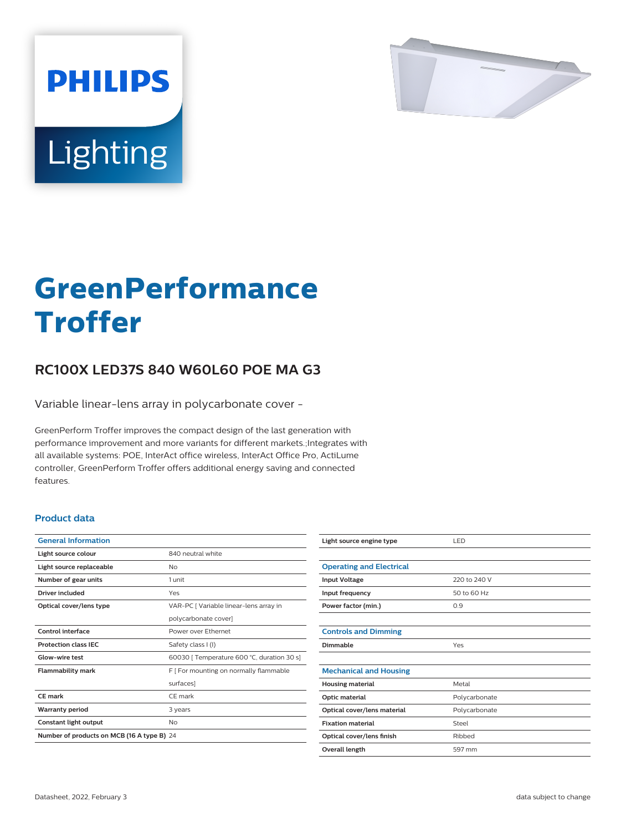

# Lighting

**PHILIPS** 

# **GreenPerformance Troffer**

# **RC100X LED37S 840 W60L60 POE MA G3**

Variable linear-lens array in polycarbonate cover -

GreenPerform Troffer improves the compact design of the last generation with performance improvement and more variants for different markets.;Integrates with all available systems: POE, InterAct office wireless, InterAct Office Pro, ActiLume controller, GreenPerform Troffer offers additional energy saving and connected features.

## **Product data**

| <b>General Information</b>                 |                                            |
|--------------------------------------------|--------------------------------------------|
| Light source colour                        | 840 neutral white                          |
| Light source replaceable                   | Nο                                         |
| Number of gear units                       | 1 unit                                     |
| Driver included                            | Yes                                        |
| Optical cover/lens type                    | VAR-PC   Variable linear-lens array in     |
|                                            | polycarbonate cover]                       |
| Control interface                          | Power over Ethernet                        |
| <b>Protection class IEC</b>                | Safety class I (I)                         |
| Glow-wire test                             | 60030   Temperature 600 °C, duration 30 s] |
| <b>Flammability mark</b>                   | F [ For mounting on normally flammable     |
|                                            | surfaces]                                  |
| CE mark                                    | CF mark                                    |
| <b>Warranty period</b>                     | 3 years                                    |
| Constant light output                      | No                                         |
| Number of products on MCB (16 A type B) 24 |                                            |

| Light source engine type        | LED           |
|---------------------------------|---------------|
|                                 |               |
| <b>Operating and Electrical</b> |               |
| <b>Input Voltage</b>            | 220 to 240 V  |
| Input frequency                 | 50 to 60 Hz   |
| Power factor (min.)             | 0.9           |
|                                 |               |
| <b>Controls and Dimming</b>     |               |
| Dimmable                        | Yes           |
|                                 |               |
| <b>Mechanical and Housing</b>   |               |
| <b>Housing material</b>         | Metal         |
| Optic material                  | Polycarbonate |
| Optical cover/lens material     | Polycarbonate |
| <b>Fixation material</b>        | Steel         |
| Optical cover/lens finish       | Ribbed        |
| Overall length                  | 597 mm        |
|                                 |               |